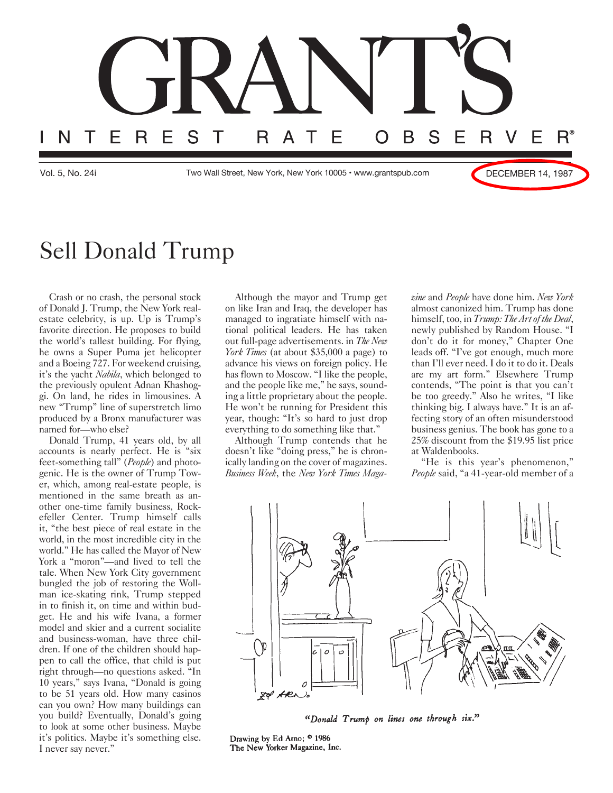

## Sell Donald Trump

Crash or no crash, the personal stock of Donald J. Trump, the New York realestate celebrity, is up. Up is Trump's favorite direction. He proposes to build the world's tallest building. For flying, he owns a Super Puma jet helicopter and a Boeing 727. For weekend cruising, it's the yacht *Nabila*, which belonged to the previously opulent Adnan Khashoggi. On land, he rides in limousines. A new "Trump" line of superstretch limo produced by a Bronx manufacturer was named for—who else?

Donald Trump, 41 years old, by all accounts is nearly perfect. He is "six feet-something tall" (*People*) and photogenic. He is the owner of Trump Tower, which, among real-estate people, is mentioned in the same breath as another one-time family business, Rockefeller Center. Trump himself calls it, "the best piece of real estate in the world, in the most incredible city in the world." He has called the Mayor of New York a "moron"—and lived to tell the tale. When New York City government bungled the job of restoring the Wollman ice-skating rink, Trump stepped in to finish it, on time and within budget. He and his wife Ivana, a former model and skier and a current socialite and business-woman, have three children. If one of the children should happen to call the office, that child is put right through—no questions asked. "In 10 years," says Ivana, "Donald is going to be 51 years old. How many casinos can you own? How many buildings can you build? Eventually, Donald's going to look at some other business. Maybe it's politics. Maybe it's something else. I never say never."

Although the mayor and Trump get on like Iran and Iraq, the developer has managed to ingratiate himself with national political leaders. He has taken out full-page advertisements. in *The New York Times* (at about \$35,000 a page) to advance his views on foreign policy. He has flown to Moscow. "I like the people, and the people like me," he says, sounding a little proprietary about the people. He won't be running for President this year, though: "It's so hard to just drop everything to do something like that."

Although Trump contends that he doesn't like "doing press," he is chronically landing on the cover of magazines. *Business Week*, the *New York Times Maga-* *zine* and *People* have done him. *New York* almost canonized him. Trump has done himself, too, in *Trump: The Art of the Deal*, newly published by Random House. "I don't do it for money," Chapter One leads off. "I've got enough, much more than I'll ever need. I do it to do it. Deals are my art form." Elsewhere Trump contends, "The point is that you can't be too greedy." Also he writes, "I like thinking big. I always have." It is an affecting story of an often misunderstood business genius. The book has gone to a 25% discount from the \$19.95 list price at Waldenbooks.

"He is this year's phenomenon," *People* said, "a 41-year-old member of a



"Donald Trump on lines one through six."

Drawing by Ed Arno; ® 1986 The New Yorker Magazine, Inc.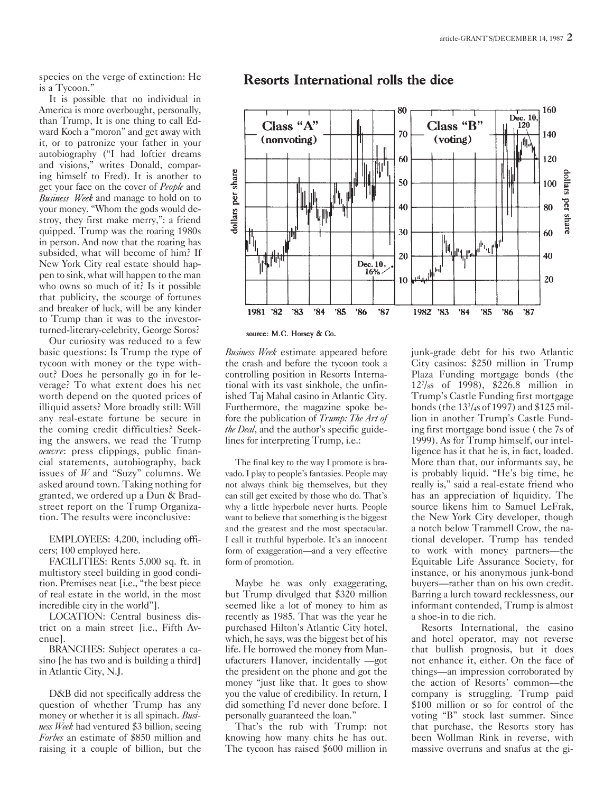species on the verge of extinction: He is a Tycoon."

It is possible that no individual in America is more overbought, personally, than Trump, It is one thing to call Edward Koch a "moron" and get away with it, or to patronize your father in your autobiography ("I had loftier dreams and visions," writes Donald, comparing himself to Fred). It is another to get your face on the cover of *People* and Business Week and manage to hold on to your money. "Whom the gods would destroy, they first make merry,": a friend quipped. Trump was the roaring 1980s in person. And now that the roaring has subsided, what will become of him? If New York City real estate should happen to sink, what will happen to the man who owns so much of it? Is it possible that publicity, the scourge of fortunes and breaker of luck, will be any kinder to Trump than it was to the investorturned-literary-celebrity, George Soros?

Our curiosity was reduced to a few basic questions: Is Trump the type of tycoon with money or the type without? Does he personally go in for leverage? To what extent does his net worth depend on the quoted prices of illiquid assets? More broadly still: Will any real-estate fortune be secure in the coming credit difficulties? Seeking the answers, we read the Trump *oeuvre*: press clippings, public financial statements, autobiography, back issues of *W* and "Suzy" columns. We asked around town. Taking nothing for granted, we ordered up a Dun & Bradstreet report on the Trump Organization. The results were inconclusive:

EMPLOYEES: 4,200, including officers; 100 employed here.

FACILITIES: Rents 5,000 sq. ft. in multistory steel building in good condition. Premises neat [i.e., "the best piece of real estate in the world, in the most incredible city in the world"].

LOCATION: Central business district on a main street [i.e., Fifth Avenue].

BRANCHES: Subject operates a casino [he has two and is building a third] in Atlantic City, N.J.

D&B did not specifically address the question of whether Trump has any money or whether it is all spinach. *Business Week* had ventured \$3 billion, seeing *Forbes* an estimate of \$850 million and raising it a couple of billion, but the

## Resorts International rolls the dice



source: M.C. Horsey & Co.

*Business Week* estimate appeared before the crash and before the tycoon took a controlling position in Resorts International with its vast sinkhole, the unfinished Taj Mahal casino in Atlantic City. Furthermore, the magazine spoke before the publication of *Trump: The Art of the Deal*, and the author's specific guidelines for interpreting Trump, i.e.:

The final key to the way I promote is bravado. I play to people's fantasies. People may not always think big themselves, but they can still get excited by those who do. That's why a little hyperbole never hurts. People want to believe that something is the biggest and the greatest and the most spectacular. I call it truthful hyperbole. It's an innocent form of exaggeration—and a very effective form of promotion.

Maybe he was only exaggerating, but Trump divulged that \$320 million seemed like a lot of money to him as recently as 1985. That was the year he purchased Hilton's Atlantic City hotel, which, he says, was the biggest bet of his life. He borrowed the money from Manufacturers Hanover, incidentally —got the president on the phone and got the money "just like that. It goes to show you the value of credibility. In return, I did something I'd never done before. I personally guaranteed the loan."

That's the rub with Trump: not knowing how many chits he has out. The tycoon has raised \$600 million in junk-grade debt for his two Atlantic City casinos: \$250 million in Trump Plaza Funding mortgage bonds (the 127 /8s of 1998), \$226.8 million in Trump's Castle Funding first mortgage bonds (the 133 /4s of 1997) and \$125 million in another Trump's Castle Funding first mortgage bond issue ( the 7s of 1999). As for Trump himself, our intelligence has it that he is, in fact, loaded. More than that, our informants say, he is probably liquid. "He's big time, he really is," said a real-estate friend who has an appreciation of liquidity. The source likens him to Samuel LeFrak, the New York City developer, though a notch below Trammell Crow, the national developer. Trump has tended to work with money partners—the Equitable Life Assurance Society, for instance, or his anonymous junk-bond buyers—rather than on his own credit. Barring a lurch toward recklessness, our informant contended, Trump is almost a shoe-in to die rich.

Resorts International, the casino and hotel operator, may not reverse that bullish prognosis, but it does not enhance it, either. On the face of things—an impression corroborated by the action of Resorts' common—the company is struggling. Trump paid \$100 million or so for control of the voting "B" stock last summer. Since that purchase, the Resorts story has been Wollman Rink in reverse, with massive overruns and snafus at the gi-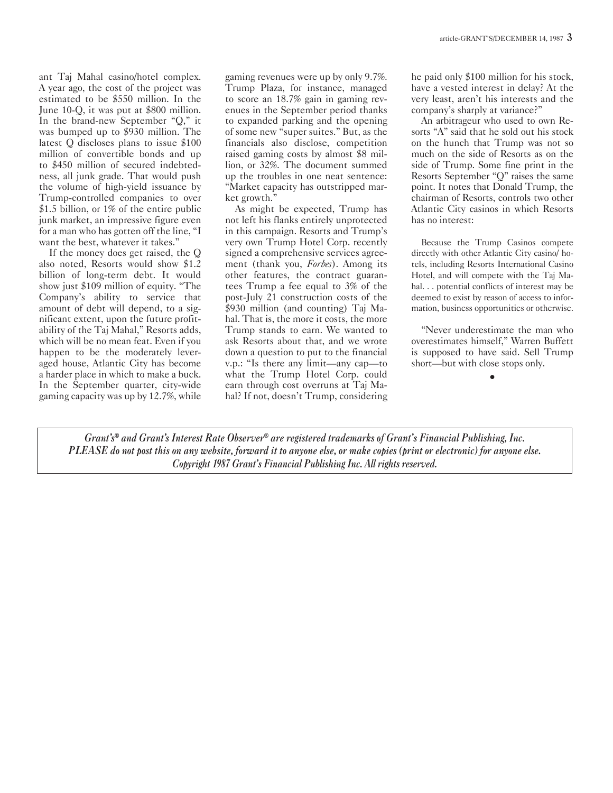ant Taj Mahal casino/hotel complex. A year ago, the cost of the project was estimated to be \$550 million. In the June 10-Q, it was put at \$800 million. In the brand-new September "Q," it was bumped up to \$930 million. The latest Q discloses plans to issue \$100 million of convertible bonds and up to \$450 million of secured indebtedness, all junk grade. That would push the volume of high-yield issuance by Trump-controlled companies to over \$1.5 billion, or 1% of the entire public junk market, an impressive figure even for a man who has gotten off the line, "I want the best, whatever it takes."

If the money does get raised, the Q also noted, Resorts would show \$1.2 billion of long-term debt. It would show just \$109 million of equity. "The Company's ability to service that amount of debt will depend, to a significant extent, upon the future profitability of the Taj Mahal," Resorts adds, which will be no mean feat. Even if you happen to be the moderately leveraged house, Atlantic City has become a harder place in which to make a buck. In the September quarter, city-wide gaming capacity was up by 12.7%, while

gaming revenues were up by only 9.7%. Trump Plaza, for instance, managed to score an 18.7% gain in gaming revenues in the September period thanks to expanded parking and the opening of some new "super suites." But, as the financials also disclose, competition raised gaming costs by almost \$8 million, or 32%. The document summed up the troubles in one neat sentence: "Market capacity has outstripped market growth."

As might be expected, Trump has not left his flanks entirely unprotected in this campaign. Resorts and Trump's very own Trump Hotel Corp. recently signed a comprehensive services agreement (thank you, *Forbes*). Among its other features, the contract guarantees Trump a fee equal to 3% of the post-July 21 construction costs of the \$930 million (and counting) Taj Mahal. That is, the more it costs, the more Trump stands to earn. We wanted to ask Resorts about that, and we wrote down a question to put to the financial v.p.: "Is there any limit—any cap—to what the Trump Hotel Corp. could earn through cost overruns at Taj Mahal? If not, doesn't Trump, considering

he paid only \$100 million for his stock, have a vested interest in delay? At the very least, aren't his interests and the company's sharply at variance?"

An arbitrageur who used to own Resorts "A" said that he sold out his stock on the hunch that Trump was not so much on the side of Resorts as on the side of Trump. Some fine print in the Resorts September "Q" raises the same point. It notes that Donald Trump, the chairman of Resorts, controls two other Atlantic City casinos in which Resorts has no interest:

Because the Trump Casinos compete directly with other Atlantic City casino/ hotels, including Resorts International Casino Hotel, and will compete with the Taj Mahal. . . potential conflicts of interest may be deemed to exist by reason of access to information, business opportunities or otherwise.

"Never underestimate the man who overestimates himself," Warren Buffett is supposed to have said. Sell Trump short—but with close stops only.

•

*Grant's® and Grant's Interest Rate Observer® are registered trademarks of Grant's Financial Publishing, Inc. PLEASE do not post this on any website, forward it to anyone else, or make copies (print or electronic) for anyone else. Copyright 1987 Grant's Financial Publishing Inc. All rights reserved.*